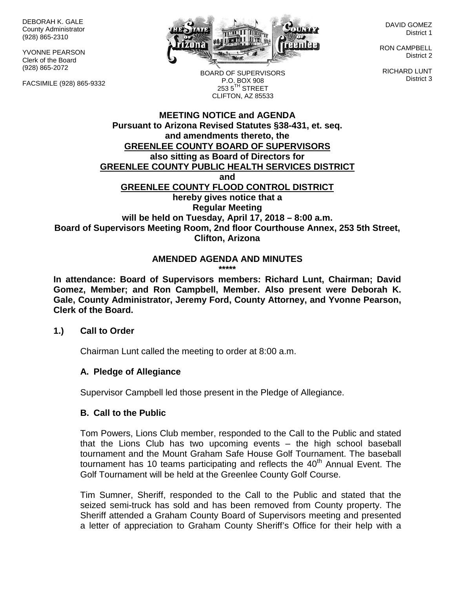DEBORAH K. GALE County Administrator (928) 865-2310

YVONNE PEARSON Clerk of the Board (928) 865-2072

FACSIMILE (928) 865-9332



DAVID GOMEZ District 1

RON CAMPBELL District 2

RICHARD LUNT District 3

BOARD OF SUPERVISORS P.O. BOX 908  $253.5$ <sup>TH</sup> STREET CLIFTON, AZ 85533

# **MEETING NOTICE and AGENDA Pursuant to Arizona Revised Statutes §38-431, et. seq. and amendments thereto, the GREENLEE COUNTY BOARD OF SUPERVISORS also sitting as Board of Directors for GREENLEE COUNTY PUBLIC HEALTH SERVICES DISTRICT and GREENLEE COUNTY FLOOD CONTROL DISTRICT hereby gives notice that a Regular Meeting will be held on Tuesday, April 17, 2018 – 8:00 a.m. Board of Supervisors Meeting Room, 2nd floor Courthouse Annex, 253 5th Street, Clifton, Arizona**

# **AMENDED AGENDA AND MINUTES**

**\*\*\*\*\***

**In attendance: Board of Supervisors members: Richard Lunt, Chairman; David Gomez, Member; and Ron Campbell, Member. Also present were Deborah K. Gale, County Administrator, Jeremy Ford, County Attorney, and Yvonne Pearson, Clerk of the Board.**

#### **1.) Call to Order**

Chairman Lunt called the meeting to order at 8:00 a.m.

# **A. Pledge of Allegiance**

Supervisor Campbell led those present in the Pledge of Allegiance.

#### **B. Call to the Public**

Tom Powers, Lions Club member, responded to the Call to the Public and stated that the Lions Club has two upcoming events – the high school baseball tournament and the Mount Graham Safe House Golf Tournament. The baseball tournament has 10 teams participating and reflects the  $40<sup>th</sup>$  Annual Event. The Golf Tournament will be held at the Greenlee County Golf Course.

Tim Sumner, Sheriff, responded to the Call to the Public and stated that the seized semi-truck has sold and has been removed from County property. The Sheriff attended a Graham County Board of Supervisors meeting and presented a letter of appreciation to Graham County Sheriff's Office for their help with a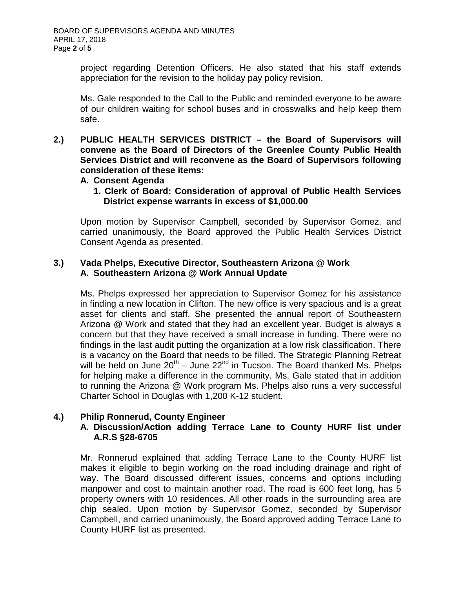project regarding Detention Officers. He also stated that his staff extends appreciation for the revision to the holiday pay policy revision.

Ms. Gale responded to the Call to the Public and reminded everyone to be aware of our children waiting for school buses and in crosswalks and help keep them safe.

**2.) PUBLIC HEALTH SERVICES DISTRICT – the Board of Supervisors will convene as the Board of Directors of the Greenlee County Public Health Services District and will reconvene as the Board of Supervisors following consideration of these items:**

#### **A. Consent Agenda**

**1. Clerk of Board: Consideration of approval of Public Health Services District expense warrants in excess of \$1,000.00**

Upon motion by Supervisor Campbell, seconded by Supervisor Gomez, and carried unanimously, the Board approved the Public Health Services District Consent Agenda as presented.

# **3.) Vada Phelps, Executive Director, Southeastern Arizona @ Work A. Southeastern Arizona @ Work Annual Update**

Ms. Phelps expressed her appreciation to Supervisor Gomez for his assistance in finding a new location in Clifton. The new office is very spacious and is a great asset for clients and staff. She presented the annual report of Southeastern Arizona @ Work and stated that they had an excellent year. Budget is always a concern but that they have received a small increase in funding. There were no findings in the last audit putting the organization at a low risk classification. There is a vacancy on the Board that needs to be filled. The Strategic Planning Retreat will be held on June  $20^{th}$  – June  $22^{nd}$  in Tucson. The Board thanked Ms. Phelps for helping make a difference in the community. Ms. Gale stated that in addition to running the Arizona @ Work program Ms. Phelps also runs a very successful Charter School in Douglas with 1,200 K-12 student.

# **4.) Philip Ronnerud, County Engineer**

# **A. Discussion/Action adding Terrace Lane to County HURF list under A.R.S §28-6705**

Mr. Ronnerud explained that adding Terrace Lane to the County HURF list makes it eligible to begin working on the road including drainage and right of way. The Board discussed different issues, concerns and options including manpower and cost to maintain another road. The road is 600 feet long, has 5 property owners with 10 residences. All other roads in the surrounding area are chip sealed. Upon motion by Supervisor Gomez, seconded by Supervisor Campbell, and carried unanimously, the Board approved adding Terrace Lane to County HURF list as presented.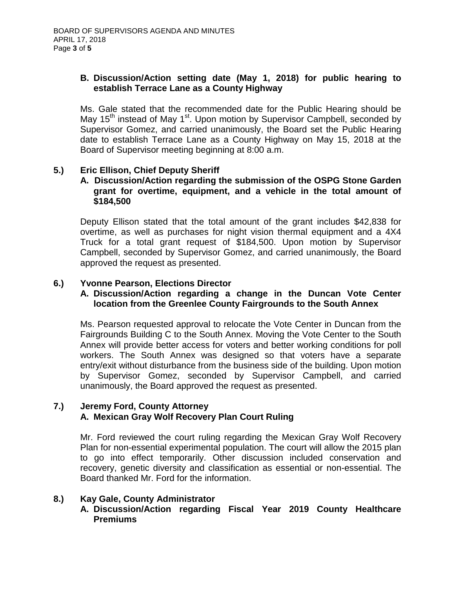# **B. Discussion/Action setting date (May 1, 2018) for public hearing to establish Terrace Lane as a County Highway**

Ms. Gale stated that the recommended date for the Public Hearing should be May 15<sup>th</sup> instead of May 1<sup>st</sup>. Upon motion by Supervisor Campbell, seconded by Supervisor Gomez, and carried unanimously, the Board set the Public Hearing date to establish Terrace Lane as a County Highway on May 15, 2018 at the Board of Supervisor meeting beginning at 8:00 a.m.

# **5.) Eric Ellison, Chief Deputy Sheriff**

#### **A. Discussion/Action regarding the submission of the OSPG Stone Garden grant for overtime, equipment, and a vehicle in the total amount of \$184,500**

Deputy Ellison stated that the total amount of the grant includes \$42,838 for overtime, as well as purchases for night vision thermal equipment and a 4X4 Truck for a total grant request of \$184,500. Upon motion by Supervisor Campbell, seconded by Supervisor Gomez, and carried unanimously, the Board approved the request as presented.

# **6.) Yvonne Pearson, Elections Director**

#### **A. Discussion/Action regarding a change in the Duncan Vote Center location from the Greenlee County Fairgrounds to the South Annex**

Ms. Pearson requested approval to relocate the Vote Center in Duncan from the Fairgrounds Building C to the South Annex. Moving the Vote Center to the South Annex will provide better access for voters and better working conditions for poll workers. The South Annex was designed so that voters have a separate entry/exit without disturbance from the business side of the building. Upon motion by Supervisor Gomez, seconded by Supervisor Campbell, and carried unanimously, the Board approved the request as presented.

#### **7.) Jeremy Ford, County Attorney A. Mexican Gray Wolf Recovery Plan Court Ruling**

Mr. Ford reviewed the court ruling regarding the Mexican Gray Wolf Recovery Plan for non-essential experimental population. The court will allow the 2015 plan to go into effect temporarily. Other discussion included conservation and recovery, genetic diversity and classification as essential or non-essential. The Board thanked Mr. Ford for the information.

# **8.) Kay Gale, County Administrator**

**A. Discussion/Action regarding Fiscal Year 2019 County Healthcare Premiums**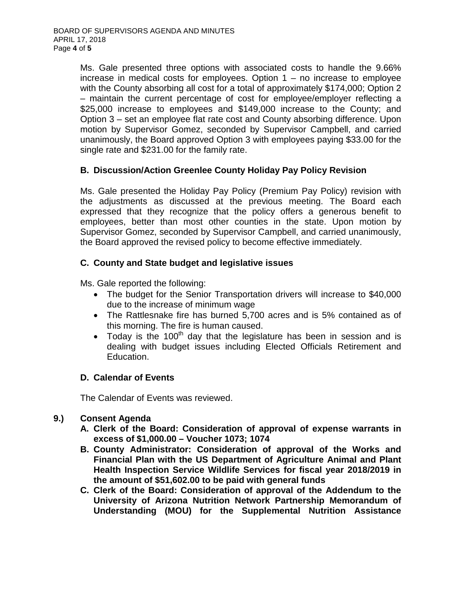Ms. Gale presented three options with associated costs to handle the 9.66% increase in medical costs for employees. Option  $1 -$  no increase to employee with the County absorbing all cost for a total of approximately \$174,000; Option 2 – maintain the current percentage of cost for employee/employer reflecting a \$25,000 increase to employees and \$149,000 increase to the County; and Option 3 – set an employee flat rate cost and County absorbing difference. Upon motion by Supervisor Gomez, seconded by Supervisor Campbell, and carried unanimously, the Board approved Option 3 with employees paying \$33.00 for the single rate and \$231.00 for the family rate.

# **B. Discussion/Action Greenlee County Holiday Pay Policy Revision**

Ms. Gale presented the Holiday Pay Policy (Premium Pay Policy) revision with the adjustments as discussed at the previous meeting. The Board each expressed that they recognize that the policy offers a generous benefit to employees, better than most other counties in the state. Upon motion by Supervisor Gomez, seconded by Supervisor Campbell, and carried unanimously, the Board approved the revised policy to become effective immediately.

# **C. County and State budget and legislative issues**

Ms. Gale reported the following:

- The budget for the Senior Transportation drivers will increase to \$40,000 due to the increase of minimum wage
- The Rattlesnake fire has burned 5,700 acres and is 5% contained as of this morning. The fire is human caused.
- Today is the 100<sup>th</sup> day that the legislature has been in session and is dealing with budget issues including Elected Officials Retirement and Education.

# **D. Calendar of Events**

The Calendar of Events was reviewed.

# **9.) Consent Agenda**

- **A. Clerk of the Board: Consideration of approval of expense warrants in excess of \$1,000.00 – Voucher 1073; 1074**
- **B. County Administrator: Consideration of approval of the Works and Financial Plan with the US Department of Agriculture Animal and Plant Health Inspection Service Wildlife Services for fiscal year 2018/2019 in the amount of \$51,602.00 to be paid with general funds**
- **C. Clerk of the Board: Consideration of approval of the Addendum to the University of Arizona Nutrition Network Partnership Memorandum of Understanding (MOU) for the Supplemental Nutrition Assistance**